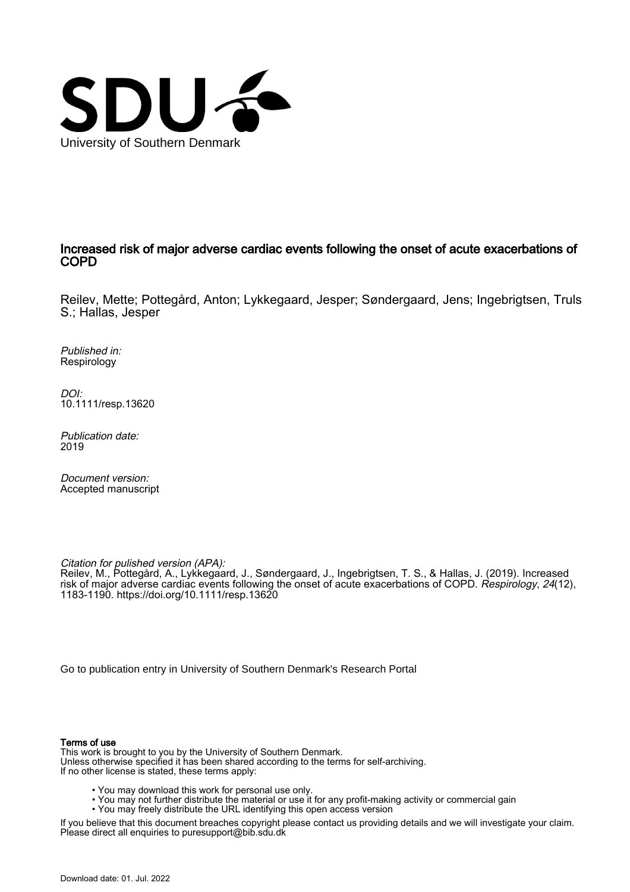

## Increased risk of major adverse cardiac events following the onset of acute exacerbations of COPD

Reilev, Mette; Pottegård, Anton; Lykkegaard, Jesper; Søndergaard, Jens; Ingebrigtsen, Truls S.; Hallas, Jesper

Published in: Respirology

DOI: [10.1111/resp.13620](https://doi.org/10.1111/resp.13620)

Publication date: 2019

Document version: Accepted manuscript

Citation for pulished version (APA):

Reilev, M., Pottegård, A., Lykkegaard, J., Søndergaard, J., Ingebrigtsen, T. S., & Hallas, J. (2019). Increased risk of major adverse cardiac events following the onset of acute exacerbations of COPD. Respirology, 24(12), 1183-1190.<https://doi.org/10.1111/resp.13620>

[Go to publication entry in University of Southern Denmark's Research Portal](https://portal.findresearcher.sdu.dk/en/publications/e12ff0d5-bcfe-49f1-9b84-145c22c3cf46)

#### Terms of use

This work is brought to you by the University of Southern Denmark. Unless otherwise specified it has been shared according to the terms for self-archiving. If no other license is stated, these terms apply:

- You may download this work for personal use only.
- You may not further distribute the material or use it for any profit-making activity or commercial gain
	- You may freely distribute the URL identifying this open access version

If you believe that this document breaches copyright please contact us providing details and we will investigate your claim. Please direct all enquiries to puresupport@bib.sdu.dk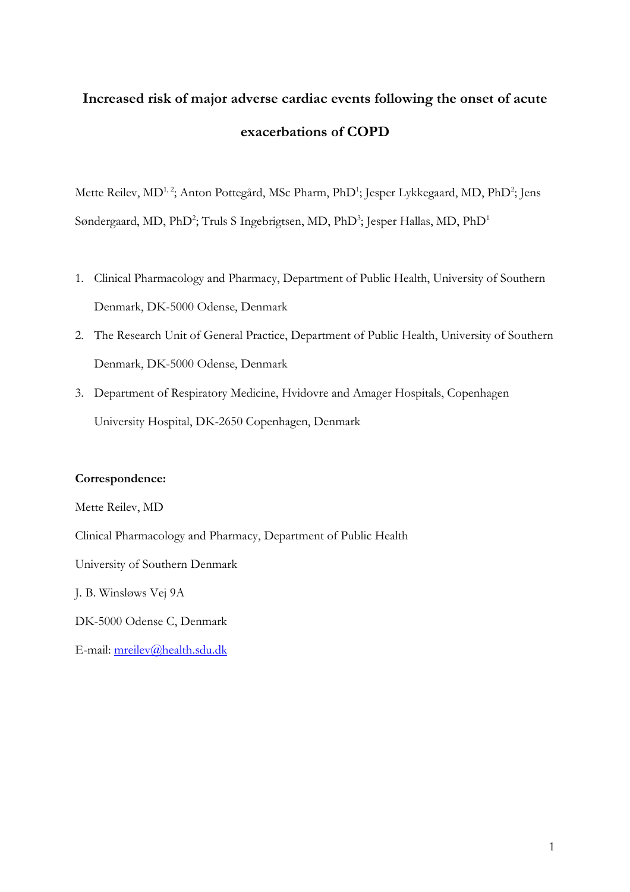# **Increased risk of major adverse cardiac events following the onset of acute exacerbations of COPD**

Mette Reilev, MD<sup>1,2</sup>; Anton Pottegård, MSc Pharm, PhD<sup>1</sup>; Jesper Lykkegaard, MD, PhD<sup>2</sup>; Jens Søndergaard, MD, PhD<sup>2</sup>; Truls S Ingebrigtsen, MD, PhD<sup>3</sup>; Jesper Hallas, MD, PhD<sup>1</sup>

- 1. Clinical Pharmacology and Pharmacy, Department of Public Health, University of Southern Denmark, DK-5000 Odense, Denmark
- 2. The Research Unit of General Practice, Department of Public Health, University of Southern Denmark, DK-5000 Odense, Denmark
- 3. Department of Respiratory Medicine, Hvidovre and Amager Hospitals, Copenhagen University Hospital, DK-2650 Copenhagen, Denmark

## **Correspondence:**

E-mail: [mreilev@health.sdu.dk](mailto:mreilev@health.sdu.dk)

Mette Reilev, MD Clinical Pharmacology and Pharmacy, Department of Public Health University of Southern Denmark J. B. Winsløws Vej 9A DK-5000 Odense C, Denmark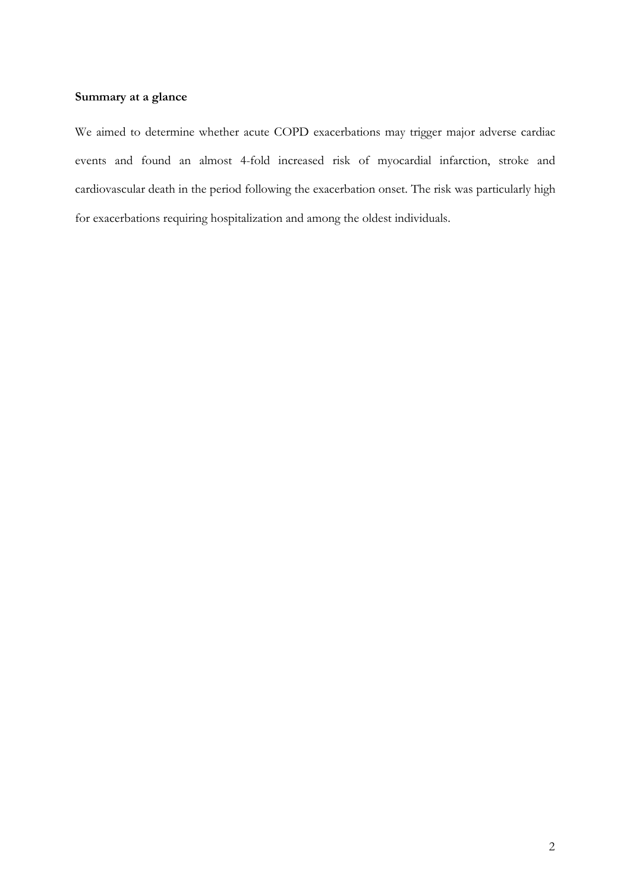## **Summary at a glance**

We aimed to determine whether acute COPD exacerbations may trigger major adverse cardiac events and found an almost 4-fold increased risk of myocardial infarction, stroke and cardiovascular death in the period following the exacerbation onset. The risk was particularly high for exacerbations requiring hospitalization and among the oldest individuals.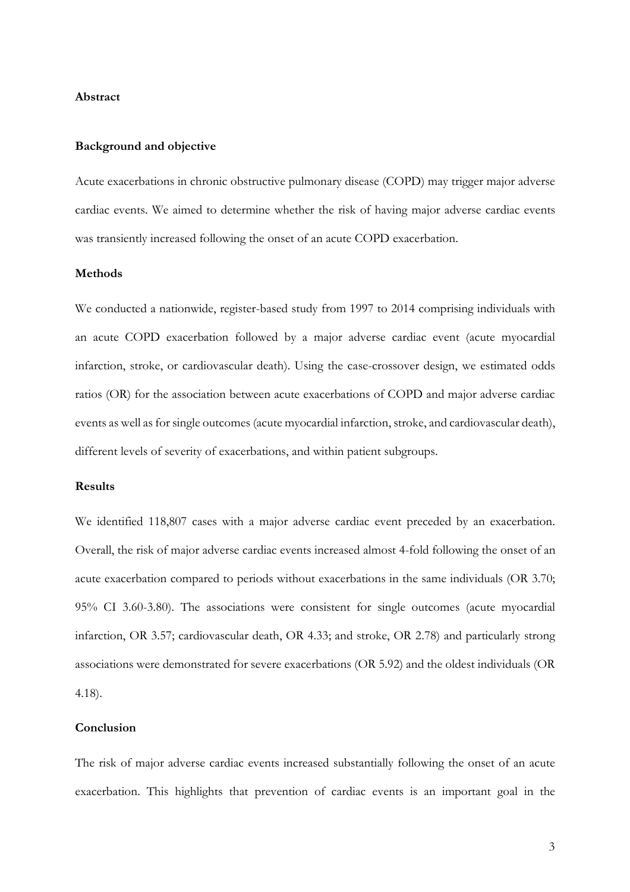#### **Abstract**

## **Background and objective**

Acute exacerbations in chronic obstructive pulmonary disease (COPD) may trigger major adverse cardiac events. We aimed to determine whether the risk of having major adverse cardiac events was transiently increased following the onset of an acute COPD exacerbation.

## **Methods**

We conducted a nationwide, register-based study from 1997 to 2014 comprising individuals with an acute COPD exacerbation followed by a major adverse cardiac event (acute myocardial infarction, stroke, or cardiovascular death). Using the case-crossover design, we estimated odds ratios (OR) for the association between acute exacerbations of COPD and major adverse cardiac events as well as for single outcomes (acute myocardial infarction, stroke, and cardiovascular death), different levels of severity of exacerbations, and within patient subgroups.

## **Results**

We identified 118,807 cases with a major adverse cardiac event preceded by an exacerbation. Overall, the risk of major adverse cardiac events increased almost 4-fold following the onset of an acute exacerbation compared to periods without exacerbations in the same individuals (OR 3.70; 95% CI 3.60-3.80). The associations were consistent for single outcomes (acute myocardial infarction, OR 3.57; cardiovascular death, OR 4.33; and stroke, OR 2.78) and particularly strong associations were demonstrated for severe exacerbations (OR 5.92) and the oldest individuals (OR 4.18).

## **Conclusion**

The risk of major adverse cardiac events increased substantially following the onset of an acute exacerbation. This highlights that prevention of cardiac events is an important goal in the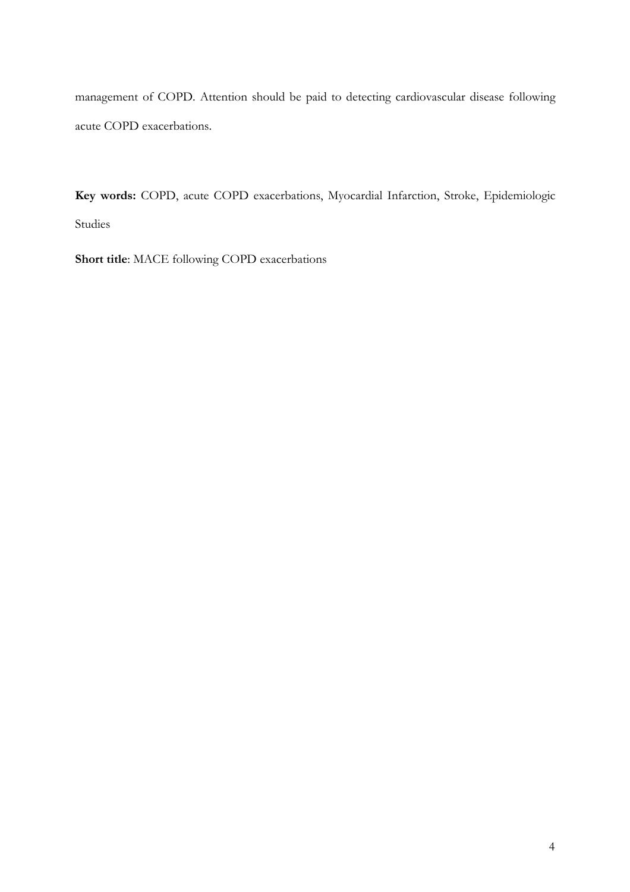management of COPD. Attention should be paid to detecting cardiovascular disease following acute COPD exacerbations.

**Key words:** COPD, acute COPD exacerbations, Myocardial Infarction, Stroke, Epidemiologic Studies

**Short title**: MACE following COPD exacerbations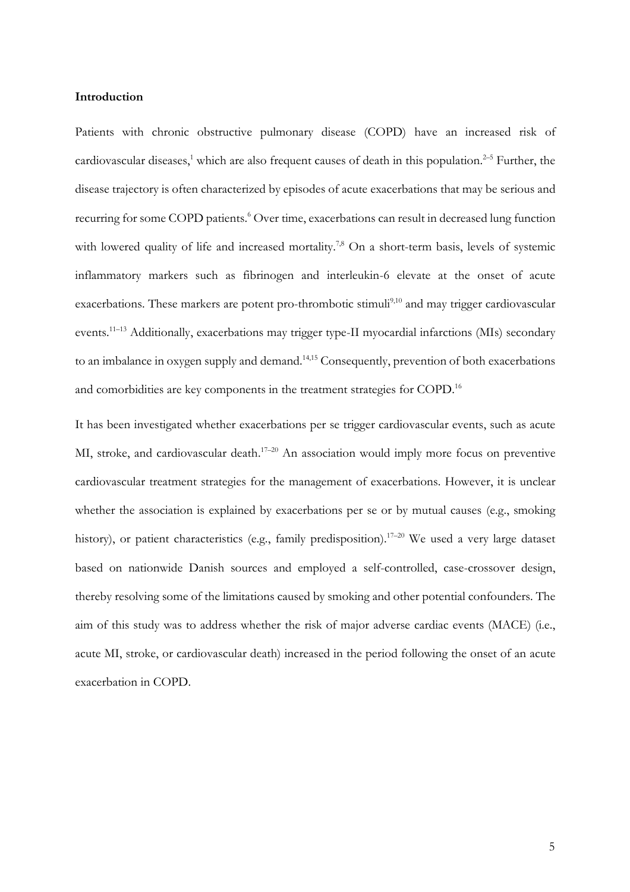## **Introduction**

Patients with chronic obstructive pulmonary disease (COPD) have an increased risk of cardiovascular diseases,<sup>1</sup> which are also frequent causes of death in this population.<sup>2-5</sup> Further, the disease trajectory is often characterized by episodes of acute exacerbations that may be serious and recurring for some COPD patients. <sup>6</sup> Over time, exacerbations can result in decreased lung function with lowered quality of life and increased mortality.<sup>7,8</sup> On a short-term basis, levels of systemic inflammatory markers such as fibrinogen and interleukin-6 elevate at the onset of acute exacerbations. These markers are potent pro-thrombotic stimuli<sup>9,10</sup> and may trigger cardiovascular events.<sup>11-13</sup> Additionally, exacerbations may trigger type-II myocardial infarctions (MIs) secondary to an imbalance in oxygen supply and demand.<sup>14,15</sup> Consequently, prevention of both exacerbations and comorbidities are key components in the treatment strategies for COPD. 16

It has been investigated whether exacerbations per se trigger cardiovascular events, such as acute MI, stroke, and cardiovascular death.<sup>17-20</sup> An association would imply more focus on preventive cardiovascular treatment strategies for the management of exacerbations. However, it is unclear whether the association is explained by exacerbations per se or by mutual causes (e.g., smoking history), or patient characteristics (e.g., family predisposition).<sup>17-20</sup> We used a very large dataset based on nationwide Danish sources and employed a self-controlled, case-crossover design, thereby resolving some of the limitations caused by smoking and other potential confounders. The aim of this study was to address whether the risk of major adverse cardiac events (MACE) (i.e., acute MI, stroke, or cardiovascular death) increased in the period following the onset of an acute exacerbation in COPD.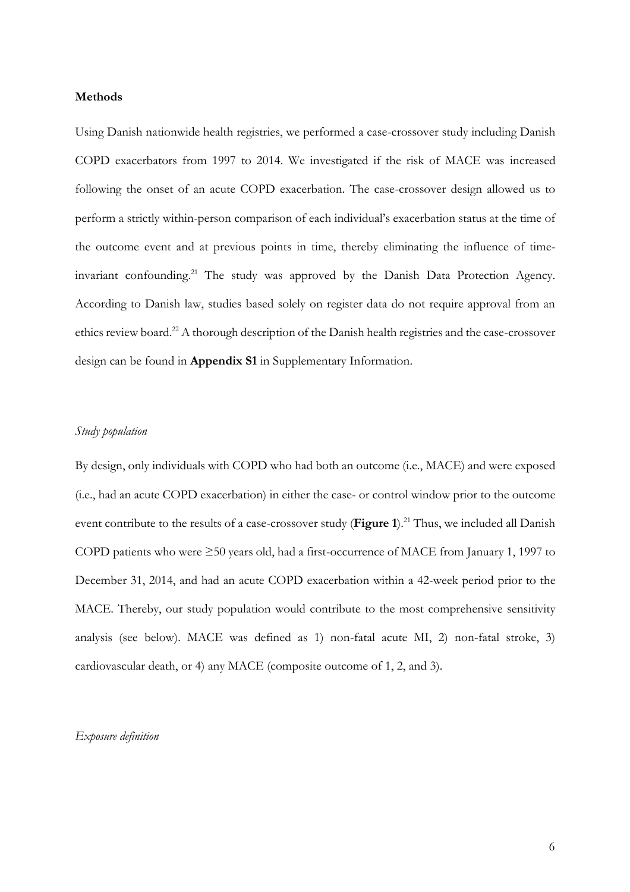## **Methods**

Using Danish nationwide health registries, we performed a case-crossover study including Danish COPD exacerbators from 1997 to 2014. We investigated if the risk of MACE was increased following the onset of an acute COPD exacerbation. The case-crossover design allowed us to perform a strictly within-person comparison of each individual's exacerbation status at the time of the outcome event and at previous points in time, thereby eliminating the influence of timeinvariant confounding.<sup>21</sup> The study was approved by the Danish Data Protection Agency. According to Danish law, studies based solely on register data do not require approval from an ethics review board.<sup>22</sup> A thorough description of the Danish health registries and the case-crossover design can be found in **Appendix S1** in Supplementary Information.

## *Study population*

By design, only individuals with COPD who had both an outcome (i.e., MACE) and were exposed (i.e., had an acute COPD exacerbation) in either the case- or control window prior to the outcome event contribute to the results of a case-crossover study (**Figure 1**). <sup>21</sup> Thus, we included all Danish COPD patients who were ≥50 years old, had a first-occurrence of MACE from January 1, 1997 to December 31, 2014, and had an acute COPD exacerbation within a 42-week period prior to the MACE. Thereby, our study population would contribute to the most comprehensive sensitivity analysis (see below). MACE was defined as 1) non-fatal acute MI, 2) non-fatal stroke, 3) cardiovascular death, or 4) any MACE (composite outcome of 1, 2, and 3).

## *Exposure definition*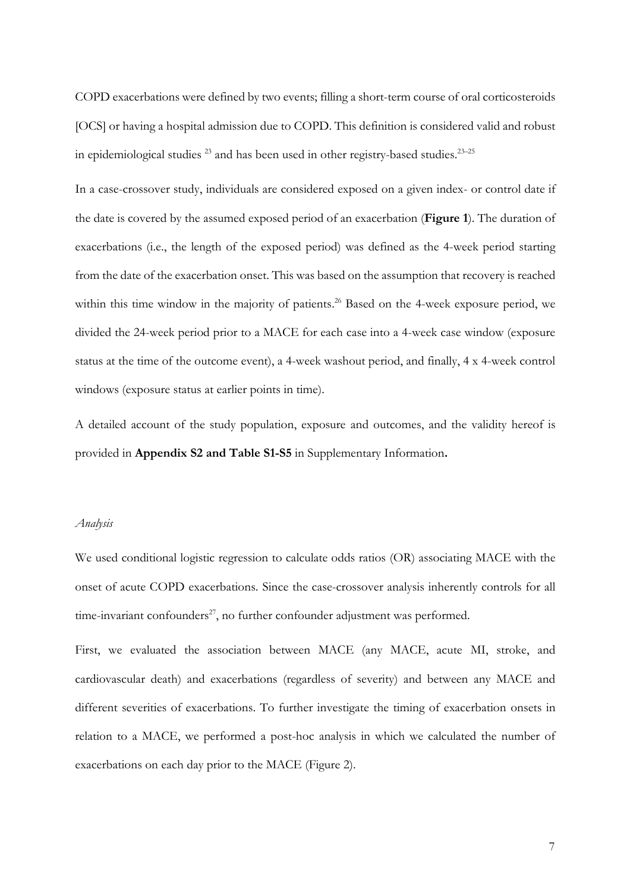COPD exacerbations were defined by two events; filling a short-term course of oral corticosteroids [OCS] or having a hospital admission due to COPD. This definition is considered valid and robust in epidemiological studies  $^{23}$  and has been used in other registry-based studies.  $^{23-25}$ 

In a case-crossover study, individuals are considered exposed on a given index- or control date if the date is covered by the assumed exposed period of an exacerbation (**Figure 1**). The duration of exacerbations (i.e., the length of the exposed period) was defined as the 4-week period starting from the date of the exacerbation onset. This was based on the assumption that recovery is reached within this time window in the majority of patients.<sup>26</sup> Based on the 4-week exposure period, we divided the 24-week period prior to a MACE for each case into a 4-week case window (exposure status at the time of the outcome event), a 4-week washout period, and finally, 4 x 4-week control windows (exposure status at earlier points in time).

A detailed account of the study population, exposure and outcomes, and the validity hereof is provided in **Appendix S2 and Table S1-S5** in Supplementary Information**.**

#### *Analysis*

We used conditional logistic regression to calculate odds ratios (OR) associating MACE with the onset of acute COPD exacerbations. Since the case-crossover analysis inherently controls for all time-invariant confounders $27$ , no further confounder adjustment was performed.

First, we evaluated the association between MACE (any MACE, acute MI, stroke, and cardiovascular death) and exacerbations (regardless of severity) and between any MACE and different severities of exacerbations. To further investigate the timing of exacerbation onsets in relation to a MACE, we performed a post-hoc analysis in which we calculated the number of exacerbations on each day prior to the MACE (Figure 2).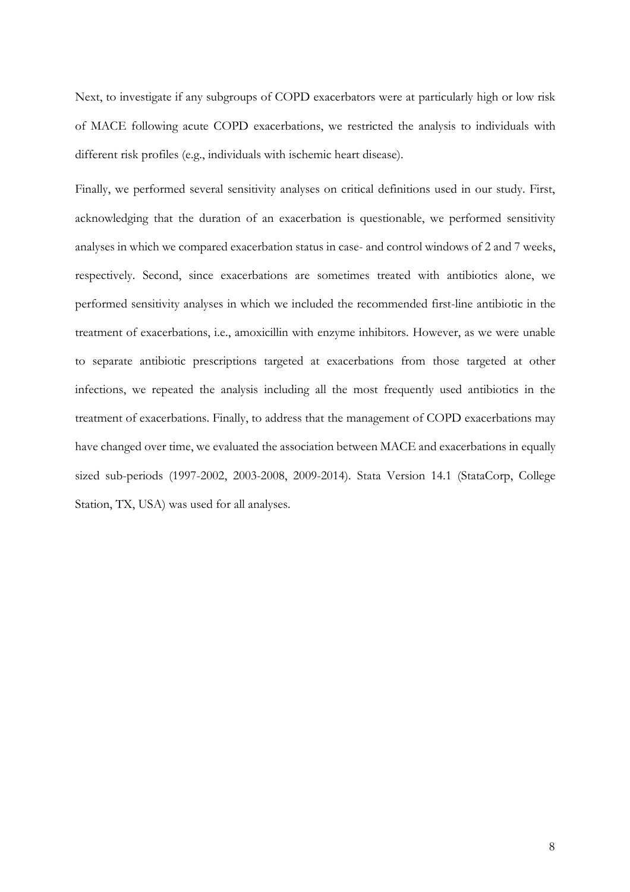Next, to investigate if any subgroups of COPD exacerbators were at particularly high or low risk of MACE following acute COPD exacerbations, we restricted the analysis to individuals with different risk profiles (e.g., individuals with ischemic heart disease).

Finally, we performed several sensitivity analyses on critical definitions used in our study. First, acknowledging that the duration of an exacerbation is questionable, we performed sensitivity analyses in which we compared exacerbation status in case- and control windows of 2 and 7 weeks, respectively. Second, since exacerbations are sometimes treated with antibiotics alone, we performed sensitivity analyses in which we included the recommended first-line antibiotic in the treatment of exacerbations, i.e., amoxicillin with enzyme inhibitors. However, as we were unable to separate antibiotic prescriptions targeted at exacerbations from those targeted at other infections, we repeated the analysis including all the most frequently used antibiotics in the treatment of exacerbations. Finally, to address that the management of COPD exacerbations may have changed over time, we evaluated the association between MACE and exacerbations in equally sized sub-periods (1997-2002, 2003-2008, 2009-2014). Stata Version 14.1 (StataCorp, College Station, TX, USA) was used for all analyses.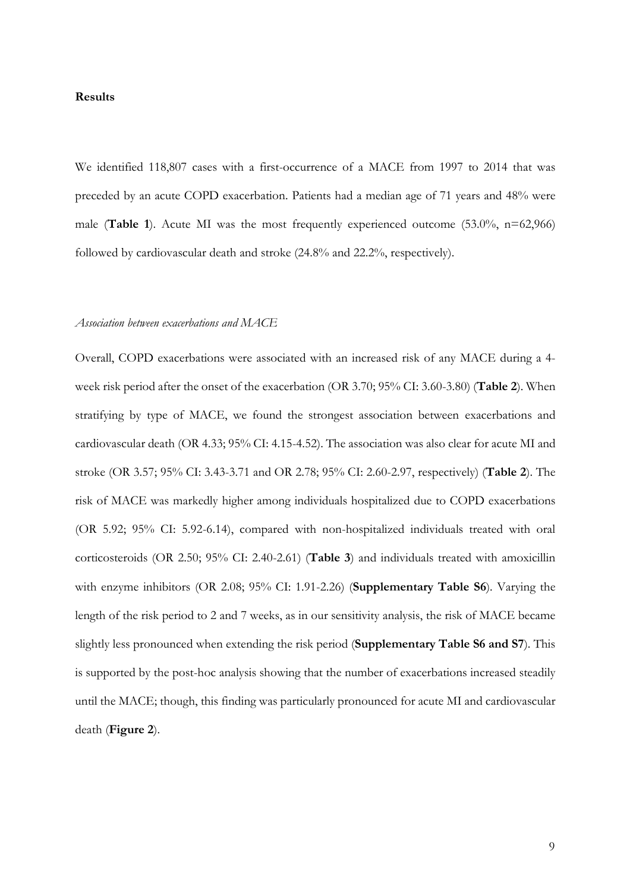#### **Results**

We identified 118,807 cases with a first-occurrence of a MACE from 1997 to 2014 that was preceded by an acute COPD exacerbation. Patients had a median age of 71 years and 48% were male (**Table 1**). Acute MI was the most frequently experienced outcome (53.0%, n=62,966) followed by cardiovascular death and stroke (24.8% and 22.2%, respectively).

## *Association between exacerbations and MACE*

Overall, COPD exacerbations were associated with an increased risk of any MACE during a 4 week risk period after the onset of the exacerbation (OR 3.70; 95% CI: 3.60-3.80) (**Table 2**). When stratifying by type of MACE, we found the strongest association between exacerbations and cardiovascular death (OR 4.33; 95% CI: 4.15-4.52). The association was also clear for acute MI and stroke (OR 3.57; 95% CI: 3.43-3.71 and OR 2.78; 95% CI: 2.60-2.97, respectively) (**Table 2**). The risk of MACE was markedly higher among individuals hospitalized due to COPD exacerbations (OR 5.92; 95% CI: 5.92-6.14), compared with non-hospitalized individuals treated with oral corticosteroids (OR 2.50; 95% CI: 2.40-2.61) (**Table 3**) and individuals treated with amoxicillin with enzyme inhibitors (OR 2.08; 95% CI: 1.91-2.26) (**Supplementary Table S6**). Varying the length of the risk period to 2 and 7 weeks, as in our sensitivity analysis, the risk of MACE became slightly less pronounced when extending the risk period (**Supplementary Table S6 and S7**). This is supported by the post-hoc analysis showing that the number of exacerbations increased steadily until the MACE; though, this finding was particularly pronounced for acute MI and cardiovascular death (**Figure 2**).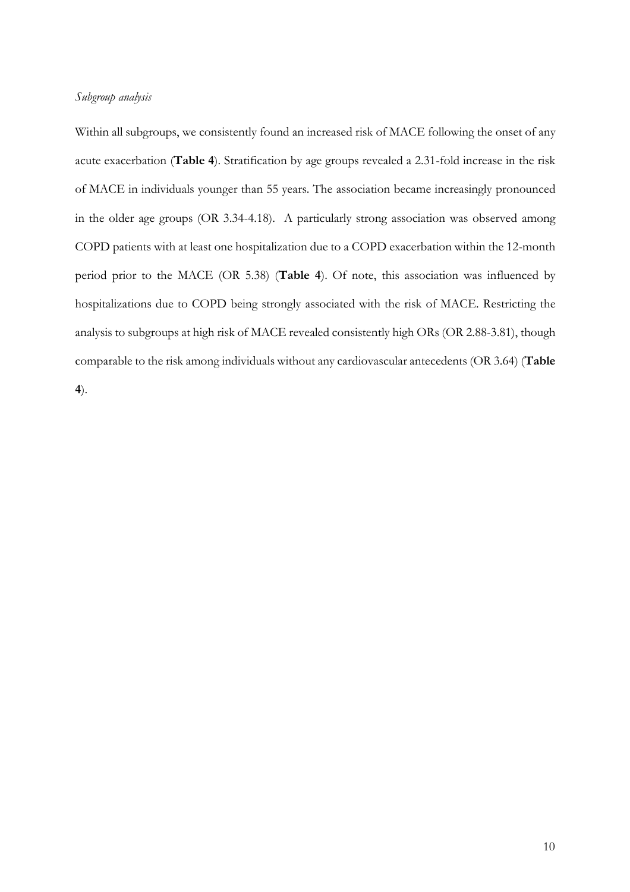## *Subgroup analysis*

Within all subgroups, we consistently found an increased risk of MACE following the onset of any acute exacerbation (**Table 4**). Stratification by age groups revealed a 2.31-fold increase in the risk of MACE in individuals younger than 55 years. The association became increasingly pronounced in the older age groups (OR 3.34-4.18). A particularly strong association was observed among COPD patients with at least one hospitalization due to a COPD exacerbation within the 12-month period prior to the MACE (OR 5.38) (**Table 4**). Of note, this association was influenced by hospitalizations due to COPD being strongly associated with the risk of MACE. Restricting the analysis to subgroups at high risk of MACE revealed consistently high ORs (OR 2.88-3.81), though comparable to the risk among individuals without any cardiovascular antecedents (OR 3.64) (**Table** 

**4**).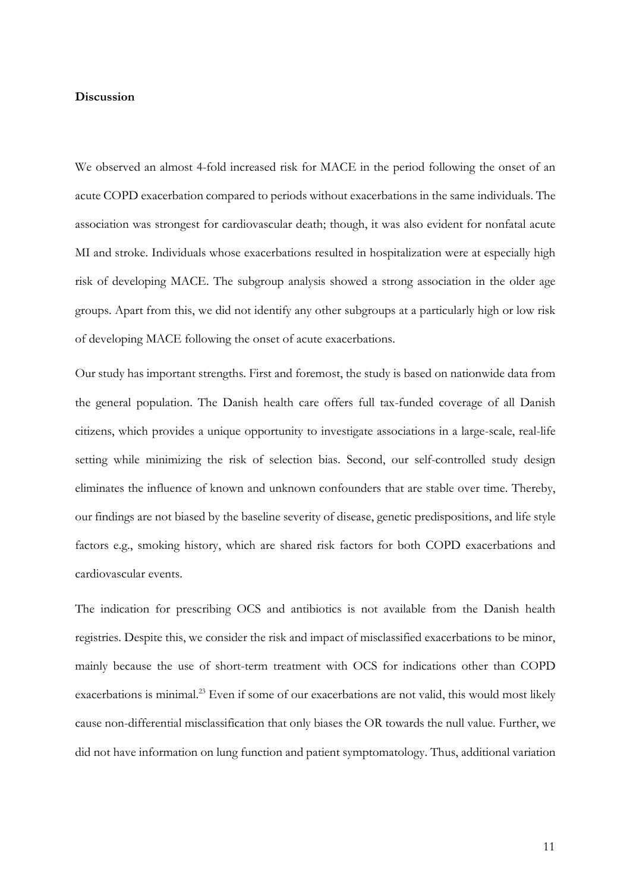## **Discussion**

We observed an almost 4-fold increased risk for MACE in the period following the onset of an acute COPD exacerbation compared to periods without exacerbations in the same individuals. The association was strongest for cardiovascular death; though, it was also evident for nonfatal acute MI and stroke. Individuals whose exacerbations resulted in hospitalization were at especially high risk of developing MACE. The subgroup analysis showed a strong association in the older age groups. Apart from this, we did not identify any other subgroups at a particularly high or low risk of developing MACE following the onset of acute exacerbations.

Our study has important strengths. First and foremost, the study is based on nationwide data from the general population. The Danish health care offers full tax-funded coverage of all Danish citizens, which provides a unique opportunity to investigate associations in a large-scale, real-life setting while minimizing the risk of selection bias. Second, our self-controlled study design eliminates the influence of known and unknown confounders that are stable over time. Thereby, our findings are not biased by the baseline severity of disease, genetic predispositions, and life style factors e.g., smoking history, which are shared risk factors for both COPD exacerbations and cardiovascular events.

The indication for prescribing OCS and antibiotics is not available from the Danish health registries. Despite this, we consider the risk and impact of misclassified exacerbations to be minor, mainly because the use of short-term treatment with OCS for indications other than COPD exacerbations is minimal. <sup>23</sup> Even if some of our exacerbations are not valid, this would most likely cause non-differential misclassification that only biases the OR towards the null value. Further, we did not have information on lung function and patient symptomatology. Thus, additional variation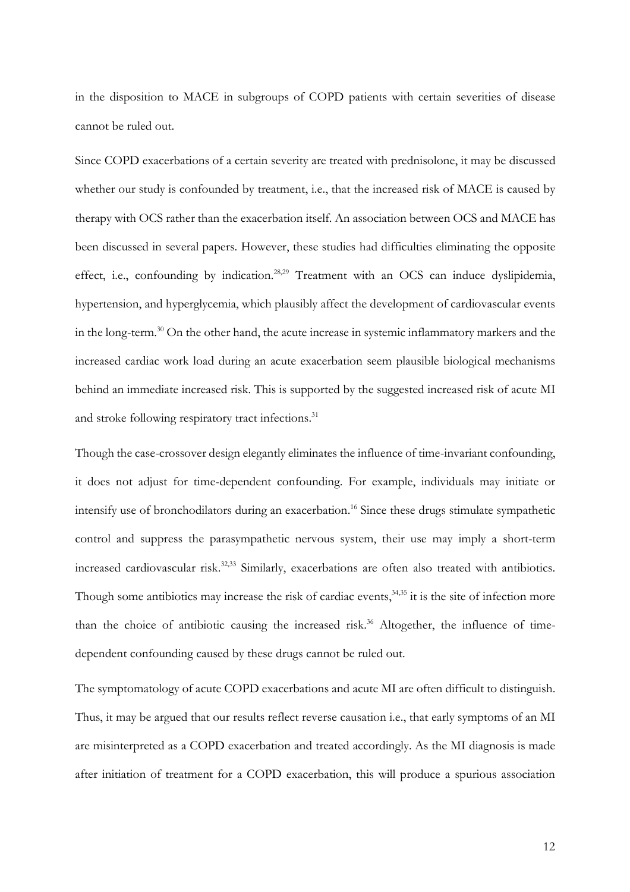in the disposition to MACE in subgroups of COPD patients with certain severities of disease cannot be ruled out.

Since COPD exacerbations of a certain severity are treated with prednisolone, it may be discussed whether our study is confounded by treatment, i.e., that the increased risk of MACE is caused by therapy with OCS rather than the exacerbation itself. An association between OCS and MACE has been discussed in several papers. However, these studies had difficulties eliminating the opposite effect, i.e., confounding by indication.<sup>28,29</sup> Treatment with an OCS can induce dyslipidemia, hypertension, and hyperglycemia, which plausibly affect the development of cardiovascular events in the long-term. <sup>30</sup> On the other hand, the acute increase in systemic inflammatory markers and the increased cardiac work load during an acute exacerbation seem plausible biological mechanisms behind an immediate increased risk. This is supported by the suggested increased risk of acute MI and stroke following respiratory tract infections.<sup>31</sup>

Though the case-crossover design elegantly eliminates the influence of time-invariant confounding, it does not adjust for time-dependent confounding. For example, individuals may initiate or intensify use of bronchodilators during an exacerbation. <sup>16</sup> Since these drugs stimulate sympathetic control and suppress the parasympathetic nervous system, their use may imply a short-term increased cardiovascular risk. 32,33 Similarly, exacerbations are often also treated with antibiotics. Though some antibiotics may increase the risk of cardiac events,<sup>34,35</sup> it is the site of infection more than the choice of antibiotic causing the increased risk. <sup>36</sup> Altogether, the influence of timedependent confounding caused by these drugs cannot be ruled out.

The symptomatology of acute COPD exacerbations and acute MI are often difficult to distinguish. Thus, it may be argued that our results reflect reverse causation i.e., that early symptoms of an MI are misinterpreted as a COPD exacerbation and treated accordingly. As the MI diagnosis is made after initiation of treatment for a COPD exacerbation, this will produce a spurious association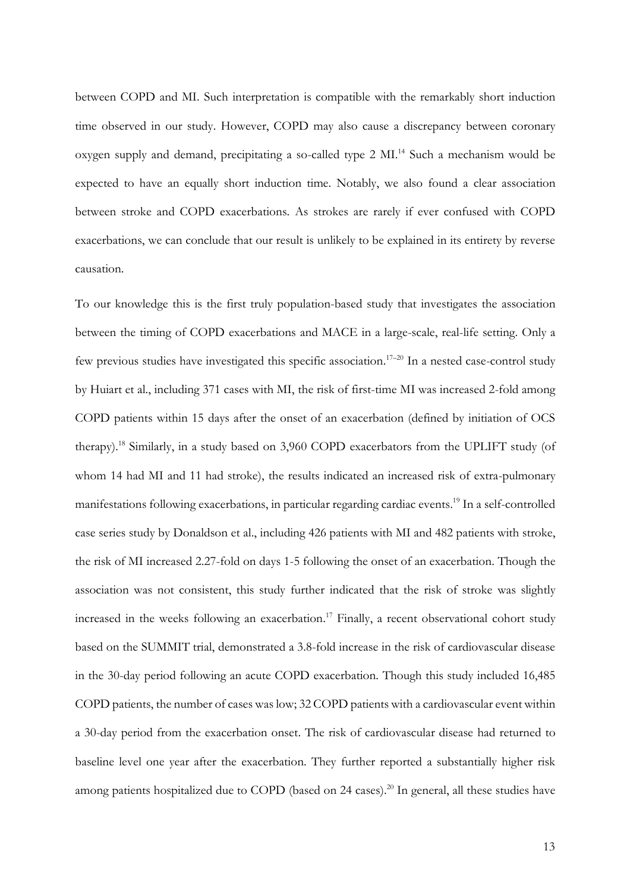between COPD and MI. Such interpretation is compatible with the remarkably short induction time observed in our study. However, COPD may also cause a discrepancy between coronary oxygen supply and demand, precipitating a so-called type 2 MI. <sup>14</sup> Such a mechanism would be expected to have an equally short induction time. Notably, we also found a clear association between stroke and COPD exacerbations. As strokes are rarely if ever confused with COPD exacerbations, we can conclude that our result is unlikely to be explained in its entirety by reverse causation.

To our knowledge this is the first truly population-based study that investigates the association between the timing of COPD exacerbations and MACE in a large-scale, real-life setting. Only a few previous studies have investigated this specific association.<sup>17-20</sup> In a nested case-control study by Huiart et al., including 371 cases with MI, the risk of first-time MI was increased 2-fold among COPD patients within 15 days after the onset of an exacerbation (defined by initiation of OCS therapy). <sup>18</sup> Similarly, in a study based on 3,960 COPD exacerbators from the UPLIFT study (of whom 14 had MI and 11 had stroke), the results indicated an increased risk of extra-pulmonary manifestations following exacerbations, in particular regarding cardiac events. <sup>19</sup> In a self-controlled case series study by Donaldson et al., including 426 patients with MI and 482 patients with stroke, the risk of MI increased 2.27-fold on days 1-5 following the onset of an exacerbation. Though the association was not consistent, this study further indicated that the risk of stroke was slightly increased in the weeks following an exacerbation. <sup>17</sup> Finally, a recent observational cohort study based on the SUMMIT trial, demonstrated a 3.8-fold increase in the risk of cardiovascular disease in the 30-day period following an acute COPD exacerbation. Though this study included 16,485 COPD patients, the number of cases was low; 32 COPD patients with a cardiovascular event within a 30-day period from the exacerbation onset. The risk of cardiovascular disease had returned to baseline level one year after the exacerbation. They further reported a substantially higher risk among patients hospitalized due to COPD (based on 24 cases). <sup>20</sup> In general, all these studies have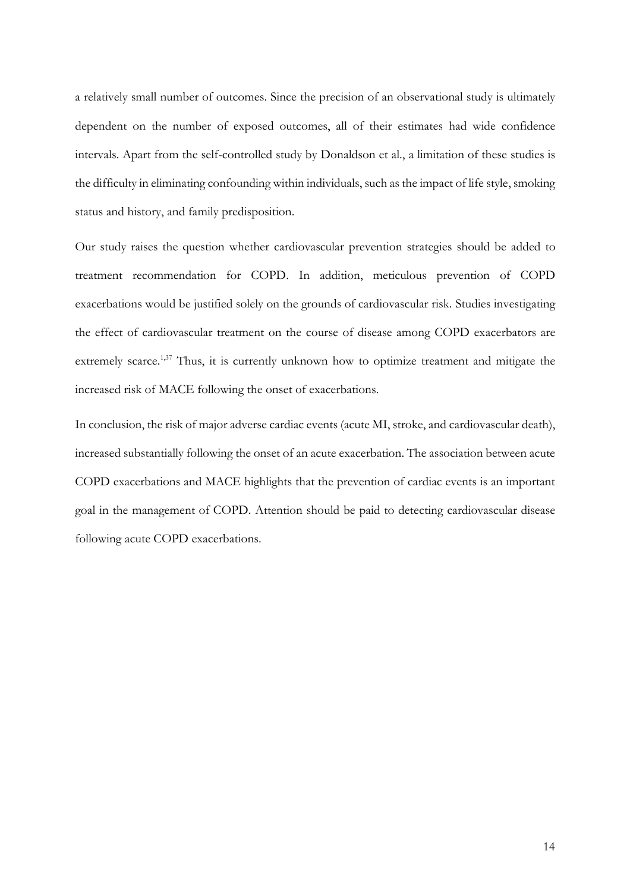a relatively small number of outcomes. Since the precision of an observational study is ultimately dependent on the number of exposed outcomes, all of their estimates had wide confidence intervals. Apart from the self-controlled study by Donaldson et al., a limitation of these studies is the difficulty in eliminating confounding within individuals, such as the impact of life style, smoking status and history, and family predisposition.

Our study raises the question whether cardiovascular prevention strategies should be added to treatment recommendation for COPD. In addition, meticulous prevention of COPD exacerbations would be justified solely on the grounds of cardiovascular risk. Studies investigating the effect of cardiovascular treatment on the course of disease among COPD exacerbators are extremely scarce.<sup>1,37</sup> Thus, it is currently unknown how to optimize treatment and mitigate the increased risk of MACE following the onset of exacerbations.

In conclusion, the risk of major adverse cardiac events (acute MI, stroke, and cardiovascular death), increased substantially following the onset of an acute exacerbation. The association between acute COPD exacerbations and MACE highlights that the prevention of cardiac events is an important goal in the management of COPD. Attention should be paid to detecting cardiovascular disease following acute COPD exacerbations.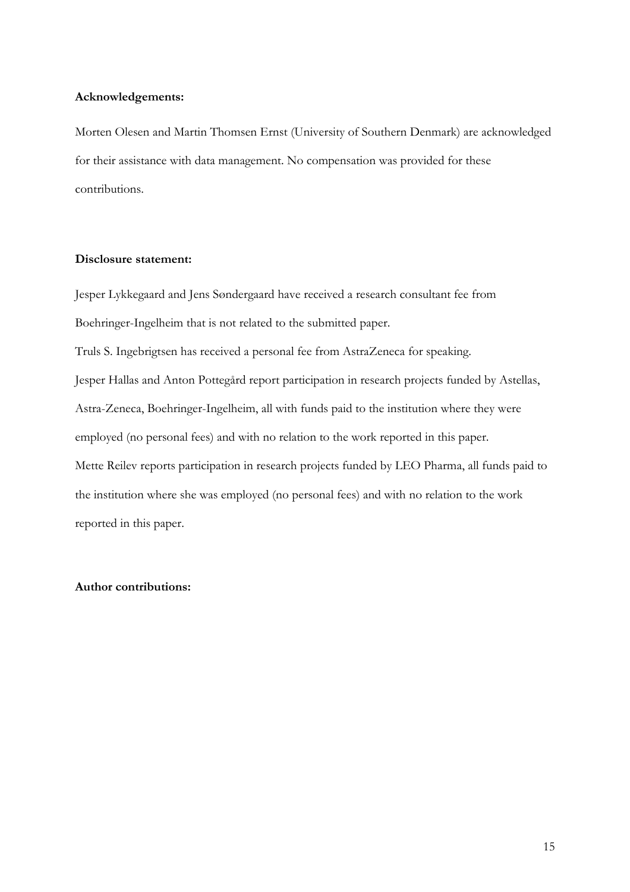## **Acknowledgements:**

Morten Olesen and Martin Thomsen Ernst (University of Southern Denmark) are acknowledged for their assistance with data management. No compensation was provided for these contributions.

## **Disclosure statement:**

Jesper Lykkegaard and Jens Søndergaard have received a research consultant fee from Boehringer-Ingelheim that is not related to the submitted paper. Truls S. Ingebrigtsen has received a personal fee from AstraZeneca for speaking. Jesper Hallas and Anton Pottegård report participation in research projects funded by Astellas, Astra-Zeneca, Boehringer-Ingelheim, all with funds paid to the institution where they were employed (no personal fees) and with no relation to the work reported in this paper. Mette Reilev reports participation in research projects funded by LEO Pharma, all funds paid to the institution where she was employed (no personal fees) and with no relation to the work reported in this paper.

## **Author contributions:**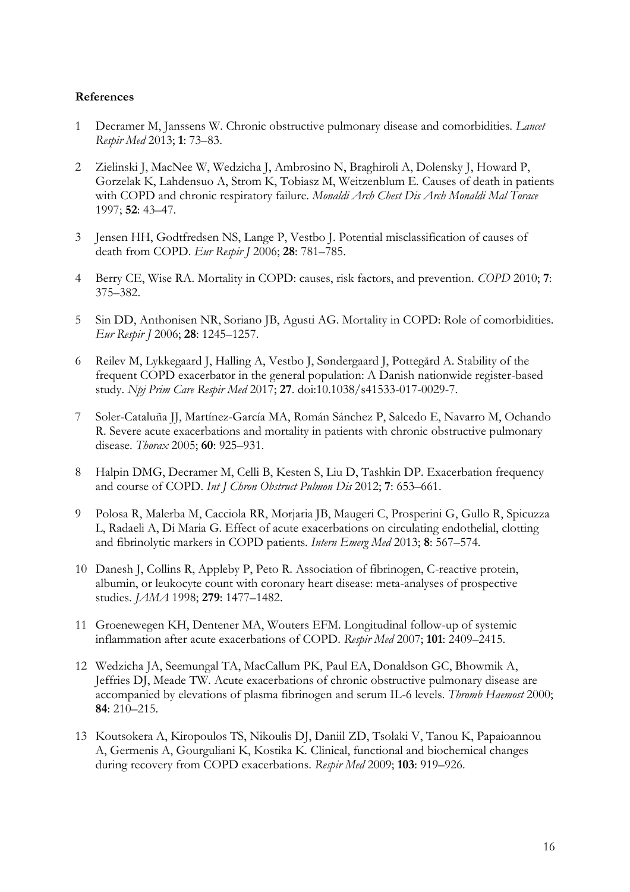## **References**

- 1 Decramer M, Janssens W. Chronic obstructive pulmonary disease and comorbidities. *Lancet Respir Med* 2013; **1**: 73–83.
- 2 Zielinski J, MacNee W, Wedzicha J, Ambrosino N, Braghiroli A, Dolensky J, Howard P, Gorzelak K, Lahdensuo A, Strom K, Tobiasz M, Weitzenblum E*.* Causes of death in patients with COPD and chronic respiratory failure. *Monaldi Arch Chest Dis Arch Monaldi Mal Torace* 1997; **52**: 43–47.
- 3 Jensen HH, Godtfredsen NS, Lange P, Vestbo J. Potential misclassification of causes of death from COPD. *Eur Respir J* 2006; **28**: 781–785.
- 4 Berry CE, Wise RA. Mortality in COPD: causes, risk factors, and prevention. *COPD* 2010; **7**: 375–382.
- 5 Sin DD, Anthonisen NR, Soriano JB, Agusti AG. Mortality in COPD: Role of comorbidities. *Eur Respir J* 2006; **28**: 1245–1257.
- 6 Reilev M, Lykkegaard J, Halling A, Vestbo J, Søndergaard J, Pottegård A. Stability of the frequent COPD exacerbator in the general population: A Danish nationwide register-based study. *Npj Prim Care Respir Med* 2017; **27**. doi:10.1038/s41533-017-0029-7.
- 7 Soler-Cataluña JJ, Martínez-García MA, Román Sánchez P, Salcedo E, Navarro M, Ochando R. Severe acute exacerbations and mortality in patients with chronic obstructive pulmonary disease. *Thorax* 2005; **60**: 925–931.
- 8 Halpin DMG, Decramer M, Celli B, Kesten S, Liu D, Tashkin DP. Exacerbation frequency and course of COPD. *Int J Chron Obstruct Pulmon Dis* 2012; **7**: 653–661.
- 9 Polosa R, Malerba M, Cacciola RR, Morjaria JB, Maugeri C, Prosperini G, Gullo R, Spicuzza L, Radaeli A, Di Maria G*.* Effect of acute exacerbations on circulating endothelial, clotting and fibrinolytic markers in COPD patients. *Intern Emerg Med* 2013; **8**: 567–574.
- 10 Danesh J, Collins R, Appleby P, Peto R. Association of fibrinogen, C-reactive protein, albumin, or leukocyte count with coronary heart disease: meta-analyses of prospective studies. *JAMA* 1998; **279**: 1477–1482.
- 11 Groenewegen KH, Dentener MA, Wouters EFM. Longitudinal follow-up of systemic inflammation after acute exacerbations of COPD. *Respir Med* 2007; **101**: 2409–2415.
- 12 Wedzicha JA, Seemungal TA, MacCallum PK, Paul EA, Donaldson GC, Bhowmik A, Jeffries DJ, Meade TW*.* Acute exacerbations of chronic obstructive pulmonary disease are accompanied by elevations of plasma fibrinogen and serum IL-6 levels. *Thromb Haemost* 2000; **84**: 210–215.
- 13 Koutsokera A, Kiropoulos TS, Nikoulis DJ, Daniil ZD, Tsolaki V, Tanou K, Papaioannou A, Germenis A, Gourguliani K, Kostika K*.* Clinical, functional and biochemical changes during recovery from COPD exacerbations. *Respir Med* 2009; **103**: 919–926.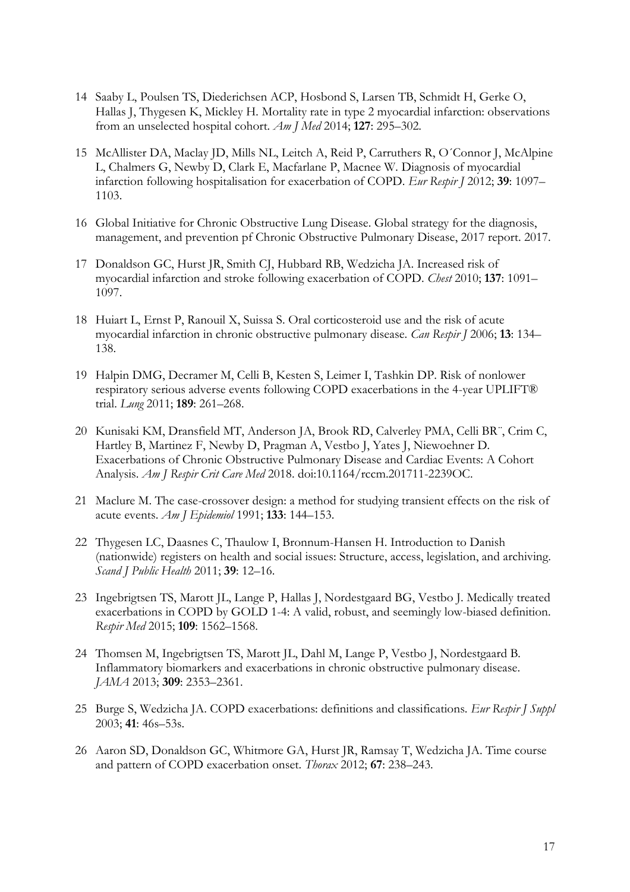- 14 Saaby L, Poulsen TS, Diederichsen ACP, Hosbond S, Larsen TB, Schmidt H, Gerke O, Hallas J, Thygesen K, Mickley H*.* Mortality rate in type 2 myocardial infarction: observations from an unselected hospital cohort. *Am J Med* 2014; **127**: 295–302.
- 15 McAllister DA, Maclay JD, Mills NL, Leitch A, Reid P, Carruthers R, O´Connor J, McAlpine L, Chalmers G, Newby D, Clark E, Macfarlane P, Macnee W*.* Diagnosis of myocardial infarction following hospitalisation for exacerbation of COPD. *Eur Respir J* 2012; **39**: 1097– 1103.
- 16 Global Initiative for Chronic Obstructive Lung Disease. Global strategy for the diagnosis, management, and prevention pf Chronic Obstructive Pulmonary Disease, 2017 report. 2017.
- 17 Donaldson GC, Hurst JR, Smith CJ, Hubbard RB, Wedzicha JA. Increased risk of myocardial infarction and stroke following exacerbation of COPD. *Chest* 2010; **137**: 1091– 1097.
- 18 Huiart L, Ernst P, Ranouil X, Suissa S. Oral corticosteroid use and the risk of acute myocardial infarction in chronic obstructive pulmonary disease. *Can Respir J* 2006; **13**: 134– 138.
- 19 Halpin DMG, Decramer M, Celli B, Kesten S, Leimer I, Tashkin DP. Risk of nonlower respiratory serious adverse events following COPD exacerbations in the 4-year UPLIFT® trial. *Lung* 2011; **189**: 261–268.
- 20 Kunisaki KM, Dransfield MT, Anderson JA, Brook RD, Calverley PMA, Celli BR¨, Crim C, Hartley B, Martinez F, Newby D, Pragman A, Vestbo J, Yates J, Niewoehner D*.* Exacerbations of Chronic Obstructive Pulmonary Disease and Cardiac Events: A Cohort Analysis. *Am J Respir Crit Care Med* 2018. doi:10.1164/rccm.201711-2239OC.
- 21 Maclure M. The case-crossover design: a method for studying transient effects on the risk of acute events. *Am J Epidemiol* 1991; **133**: 144–153.
- 22 Thygesen LC, Daasnes C, Thaulow I, Bronnum-Hansen H. Introduction to Danish (nationwide) registers on health and social issues: Structure, access, legislation, and archiving. *Scand J Public Health* 2011; **39**: 12–16.
- 23 Ingebrigtsen TS, Marott JL, Lange P, Hallas J, Nordestgaard BG, Vestbo J. Medically treated exacerbations in COPD by GOLD 1-4: A valid, robust, and seemingly low-biased definition. *Respir Med* 2015; **109**: 1562–1568.
- 24 Thomsen M, Ingebrigtsen TS, Marott JL, Dahl M, Lange P, Vestbo J, Nordestgaard B*.* Inflammatory biomarkers and exacerbations in chronic obstructive pulmonary disease. *JAMA* 2013; **309**: 2353–2361.
- 25 Burge S, Wedzicha JA. COPD exacerbations: definitions and classifications. *Eur Respir J Suppl* 2003; **41**: 46s–53s.
- 26 Aaron SD, Donaldson GC, Whitmore GA, Hurst JR, Ramsay T, Wedzicha JA. Time course and pattern of COPD exacerbation onset. *Thorax* 2012; **67**: 238–243.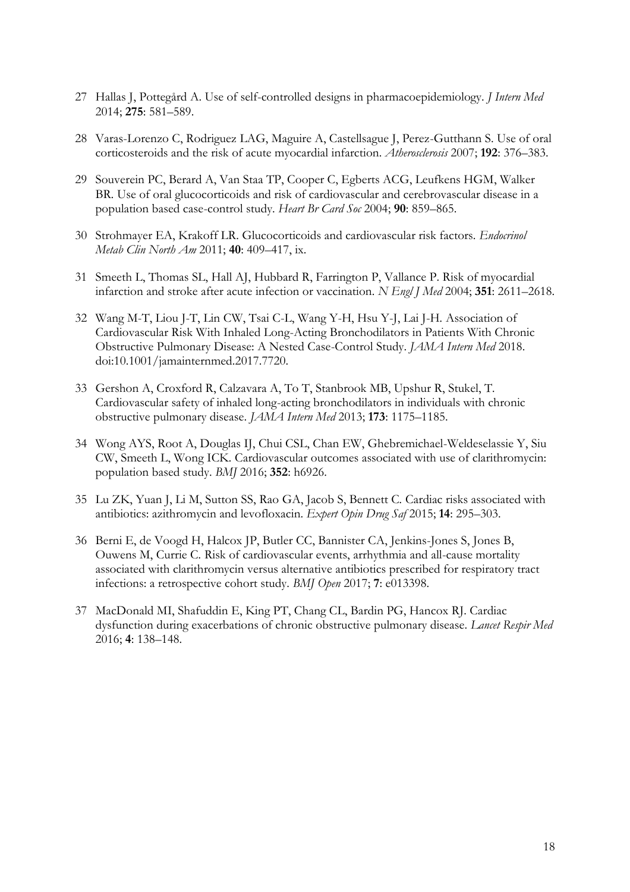- 27 Hallas J, Pottegård A. Use of self-controlled designs in pharmacoepidemiology. *J Intern Med* 2014; **275**: 581–589.
- 28 Varas-Lorenzo C, Rodriguez LAG, Maguire A, Castellsague J, Perez-Gutthann S. Use of oral corticosteroids and the risk of acute myocardial infarction. *Atherosclerosis* 2007; **192**: 376–383.
- 29 Souverein PC, Berard A, Van Staa TP, Cooper C, Egberts ACG, Leufkens HGM, Walker BR*.* Use of oral glucocorticoids and risk of cardiovascular and cerebrovascular disease in a population based case-control study. *Heart Br Card Soc* 2004; **90**: 859–865.
- 30 Strohmayer EA, Krakoff LR. Glucocorticoids and cardiovascular risk factors. *Endocrinol Metab Clin North Am* 2011; **40**: 409–417, ix.
- 31 Smeeth L, Thomas SL, Hall AJ, Hubbard R, Farrington P, Vallance P. Risk of myocardial infarction and stroke after acute infection or vaccination. *N Engl J Med* 2004; **351**: 2611–2618.
- 32 Wang M-T, Liou J-T, Lin CW, Tsai C-L, Wang Y-H, Hsu Y-J, Lai J-H*.* Association of Cardiovascular Risk With Inhaled Long-Acting Bronchodilators in Patients With Chronic Obstructive Pulmonary Disease: A Nested Case-Control Study. *JAMA Intern Med* 2018. doi:10.1001/jamainternmed.2017.7720.
- 33 Gershon A, Croxford R, Calzavara A, To T, Stanbrook MB, Upshur R, Stukel, T*.* Cardiovascular safety of inhaled long-acting bronchodilators in individuals with chronic obstructive pulmonary disease. *JAMA Intern Med* 2013; **173**: 1175–1185.
- 34 Wong AYS, Root A, Douglas IJ, Chui CSL, Chan EW, Ghebremichael-Weldeselassie Y, Siu CW, Smeeth L, Wong ICK*.* Cardiovascular outcomes associated with use of clarithromycin: population based study. *BMJ* 2016; **352**: h6926.
- 35 Lu ZK, Yuan J, Li M, Sutton SS, Rao GA, Jacob S, Bennett C*.* Cardiac risks associated with antibiotics: azithromycin and levofloxacin. *Expert Opin Drug Saf* 2015; **14**: 295–303.
- 36 Berni E, de Voogd H, Halcox JP, Butler CC, Bannister CA, Jenkins-Jones S, Jones B, Ouwens M, Currie C*.* Risk of cardiovascular events, arrhythmia and all-cause mortality associated with clarithromycin versus alternative antibiotics prescribed for respiratory tract infections: a retrospective cohort study. *BMJ Open* 2017; **7**: e013398.
- 37 MacDonald MI, Shafuddin E, King PT, Chang CL, Bardin PG, Hancox RJ. Cardiac dysfunction during exacerbations of chronic obstructive pulmonary disease. *Lancet Respir Med* 2016; **4**: 138–148.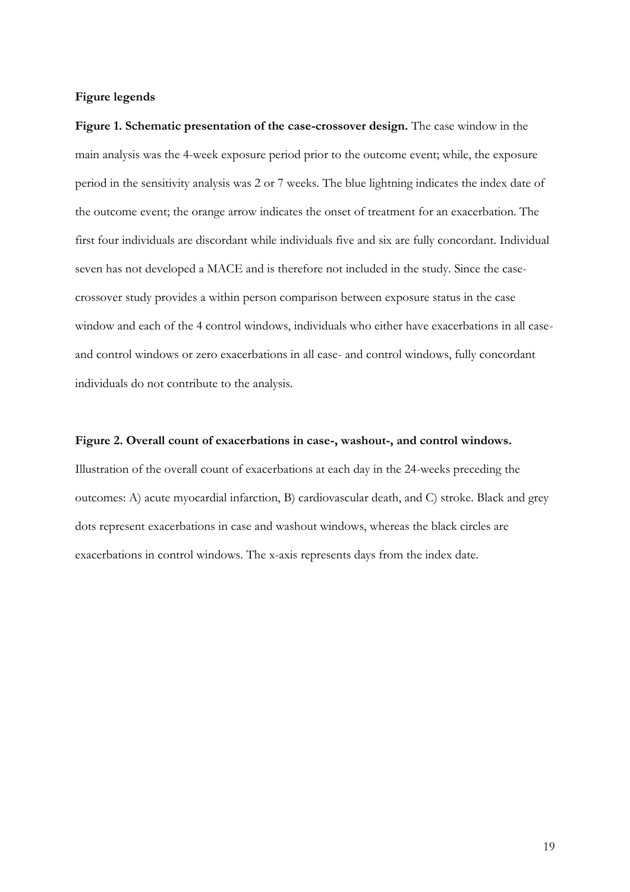## **Figure legends**

**Figure 1. Schematic presentation of the case-crossover design.** The case window in the main analysis was the 4-week exposure period prior to the outcome event; while, the exposure period in the sensitivity analysis was 2 or 7 weeks. The blue lightning indicates the index date of the outcome event; the orange arrow indicates the onset of treatment for an exacerbation. The first four individuals are discordant while individuals five and six are fully concordant. Individual seven has not developed a MACE and is therefore not included in the study. Since the casecrossover study provides a within person comparison between exposure status in the case window and each of the 4 control windows, individuals who either have exacerbations in all caseand control windows or zero exacerbations in all case- and control windows, fully concordant individuals do not contribute to the analysis.

## **Figure 2. Overall count of exacerbations in case-, washout-, and control windows.**

Illustration of the overall count of exacerbations at each day in the 24-weeks preceding the outcomes: A) acute myocardial infarction, B) cardiovascular death, and C) stroke. Black and grey dots represent exacerbations in case and washout windows, whereas the black circles are exacerbations in control windows. The x-axis represents days from the index date.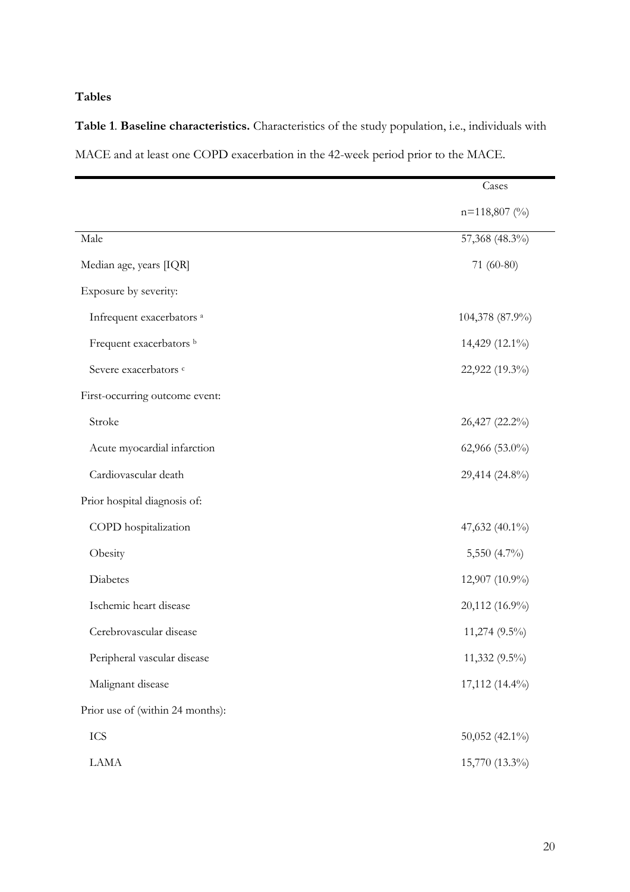# **Tables**

| Table 1. Baseline characteristics. Characteristics of the study population, i.e., individuals with |  |  |
|----------------------------------------------------------------------------------------------------|--|--|
| MACE and at least one COPD exacerbation in the 42-week period prior to the MACE.                   |  |  |

|                                      | Cases           |
|--------------------------------------|-----------------|
|                                      | $n=118,807$ (%) |
| Male                                 | 57,368 (48.3%)  |
| Median age, years [IQR]              | 71 (60-80)      |
| Exposure by severity:                |                 |
| Infrequent exacerbators <sup>a</sup> | 104,378 (87.9%) |
| Frequent exacerbators b              | 14,429 (12.1%)  |
| Severe exacerbators c                | 22,922 (19.3%)  |
| First-occurring outcome event:       |                 |
| Stroke                               | 26,427 (22.2%)  |
| Acute myocardial infarction          | 62,966 (53.0%)  |
| Cardiovascular death                 | 29,414 (24.8%)  |
| Prior hospital diagnosis of:         |                 |
| COPD hospitalization                 | 47,632 (40.1%)  |
| Obesity                              | 5,550 (4.7%)    |
| Diabetes                             | 12,907 (10.9%)  |
| Ischemic heart disease               | 20,112 (16.9%)  |
| Cerebrovascular disease              | 11,274 (9.5%)   |
| Peripheral vascular disease          | 11,332 (9.5%)   |
| Malignant disease                    | 17,112 (14.4%)  |
| Prior use of (within 24 months):     |                 |
| ICS                                  | 50,052 (42.1%)  |
| LAMA                                 | 15,770 (13.3%)  |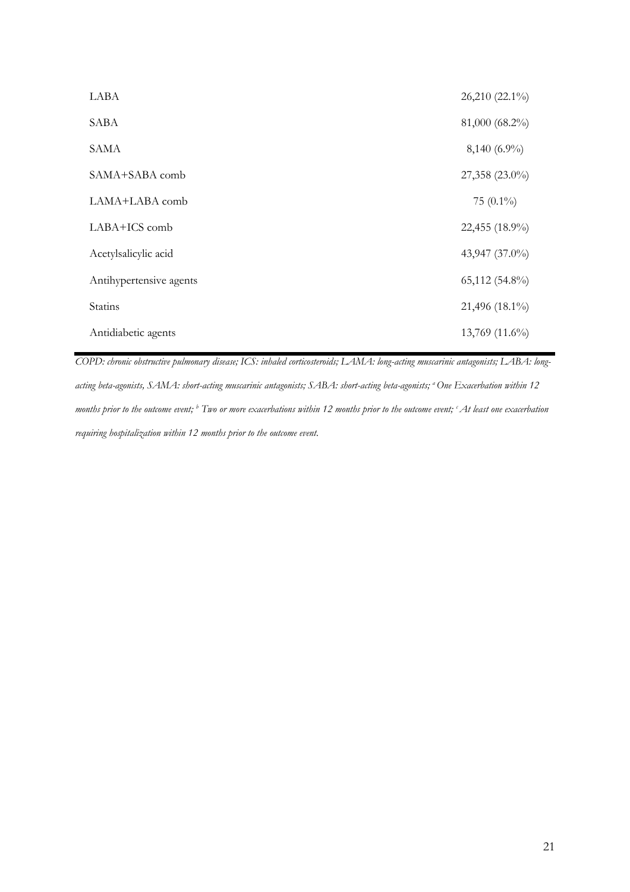| LABA                    | 26,210 (22.1%) |
|-------------------------|----------------|
| SABA                    | 81,000 (68.2%) |
| <b>SAMA</b>             | $8,140(6.9\%)$ |
| SAMA+SABA comb          | 27,358 (23.0%) |
| LAMA+LABA comb          | 75 $(0.1\%)$   |
| LABA+ICS comb           | 22,455 (18.9%) |
| Acetylsalicylic acid    | 43,947 (37.0%) |
| Antihypertensive agents | 65,112 (54.8%) |
| Statins                 | 21,496 (18.1%) |
| Antidiabetic agents     | 13,769 (11.6%) |

*COPD: chronic obstructive pulmonary disease; ICS: inhaled corticosteroids; LAMA: long-acting muscarinic antagonists; LABA: longacting beta-agonists, SAMA: short-acting muscarinic antagonists; SABA: short-acting beta-agonists; <sup>a</sup>One Exacerbation within 12 months prior to the outcome event; <sup>b</sup> Two or more exacerbations within 12 months prior to the outcome event; <sup>c</sup>At least one exacerbation requiring hospitalization within 12 months prior to the outcome event.*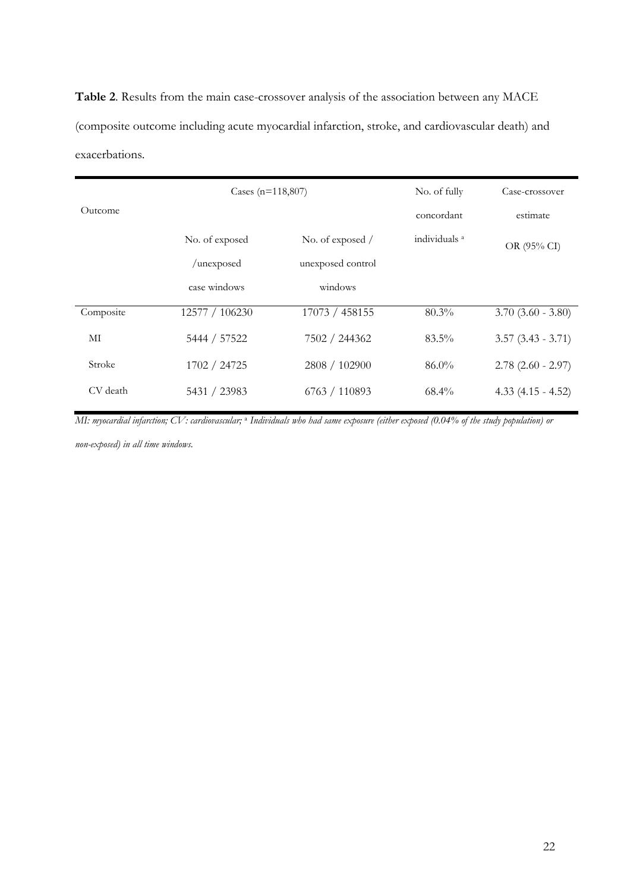**Table 2**. Results from the main case-crossover analysis of the association between any MACE (composite outcome including acute myocardial infarction, stroke, and cardiovascular death) and exacerbations.

|           | Cases (n=118,807) |                   | No. of fully             | Case-crossover         |
|-----------|-------------------|-------------------|--------------------------|------------------------|
| Outcome   |                   |                   | concordant               | estimate               |
|           | No. of exposed    | No. of exposed /  | individuals <sup>a</sup> | OR (95% CI)            |
|           | /unexposed        | unexposed control |                          |                        |
|           | case windows      | windows           |                          |                        |
| Composite | 12577 / 106230    | 17073 / 458155    | $80.3\%$                 | $3.70$ $(3.60 - 3.80)$ |
| МІ        | 5444 / 57522      | 7502 / 244362     | $83.5\%$                 | $3.57(3.43 - 3.71)$    |
| Stroke    | 1702 / 24725      | 2808 / 102900     | $86.0\%$                 | $2.78$ (2.60 - 2.97)   |
| CV death  | 5431 / 23983      | 6763 / 110893     | $68.4\%$                 | $4.33(4.15 - 4.52)$    |

*MI: myocardial infarction; CV: cardiovascular;* <sup>a</sup> *Individuals who had same exposure (either exposed (0.04% of the study population) or* 

*non-exposed) in all time windows.*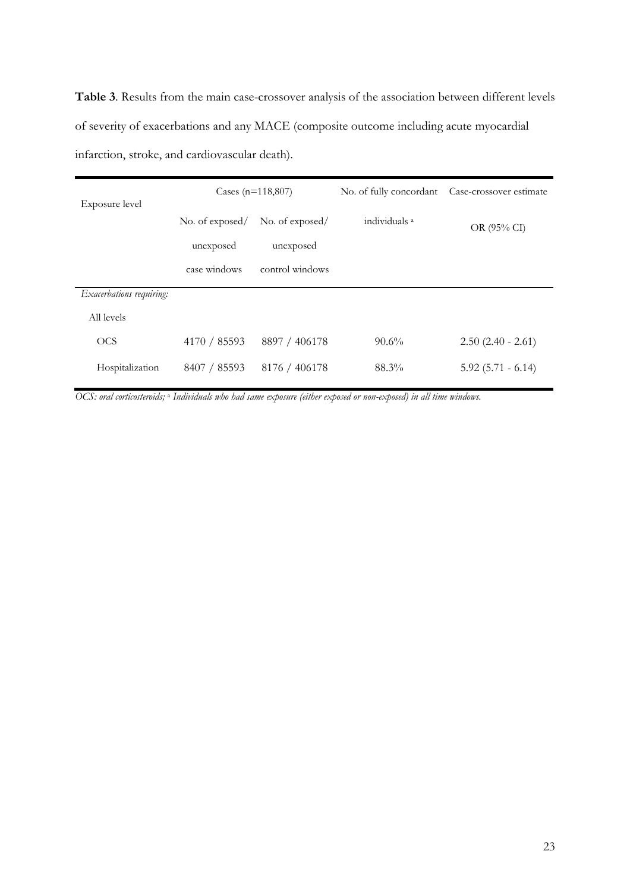**Table 3**. Results from the main case-crossover analysis of the association between different levels of severity of exacerbations and any MACE (composite outcome including acute myocardial infarction, stroke, and cardiovascular death).

| Exposure level           | Cases $(n=118,807)$ |                 | No. of fully concordant  | Case-crossover estimate |  |
|--------------------------|---------------------|-----------------|--------------------------|-------------------------|--|
|                          | No. of exposed/     | No. of exposed/ | individuals <sup>a</sup> | OR (95% CI)             |  |
|                          | unexposed           | unexposed       |                          |                         |  |
|                          | case windows        | control windows |                          |                         |  |
| Exacerbations requiring: |                     |                 |                          |                         |  |
| All levels               |                     |                 |                          |                         |  |
| <b>OCS</b>               | 4170 / 85593        | 8897 / 406178   | $90.6\%$                 | $2.50(2.40 - 2.61)$     |  |
| Hospitalization          | 8407 / 85593        | 8176 / 406178   | 88.3%                    | $5.92(5.71 - 6.14)$     |  |
|                          |                     |                 |                          |                         |  |

*OCS: oral corticosteroids;* <sup>a</sup> *Individuals who had same exposure (either exposed or non-exposed) in all time windows.*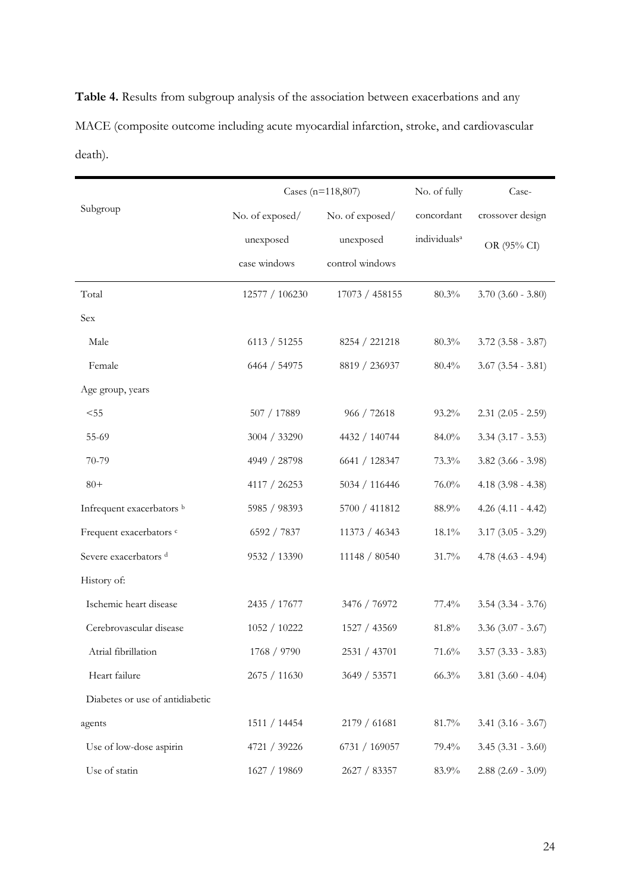**Table 4.** Results from subgroup analysis of the association between exacerbations and any MACE (composite outcome including acute myocardial infarction, stroke, and cardiovascular death).

|                                  | Cases (n=118,807) |                 | No. of fully             | Case-                  |
|----------------------------------|-------------------|-----------------|--------------------------|------------------------|
| Subgroup                         | No. of exposed/   | No. of exposed/ | concordant               | crossover design       |
|                                  | unexposed         | unexposed       | individuals <sup>a</sup> | OR (95% CI)            |
|                                  | case windows      | control windows |                          |                        |
| Total                            | 12577 / 106230    | 17073 / 458155  | 80.3%                    | $3.70$ $(3.60 - 3.80)$ |
| Sex                              |                   |                 |                          |                        |
| Male                             | 6113 / 51255      | 8254 / 221218   | 80.3%                    | $3.72$ $(3.58 - 3.87)$ |
| Female                           | 6464 / 54975      | 8819 / 236937   | 80.4%                    | $3.67$ $(3.54 - 3.81)$ |
| Age group, years                 |                   |                 |                          |                        |
| < 55                             | 507 / 17889       | 966 / 72618     | 93.2%                    | $2.31$ $(2.05 - 2.59)$ |
| 55-69                            | 3004 / 33290      | 4432 / 140744   | 84.0%                    | $3.34$ $(3.17 - 3.53)$ |
| 70-79                            | 4949 / 28798      | 6641 / 128347   | 73.3%                    | $3.82$ (3.66 - 3.98)   |
| $80+$                            | 4117 / 26253      | 5034 / 116446   | 76.0%                    | $4.18$ (3.98 - 4.38)   |
| Infrequent exacerbators b        | 5985 / 98393      | 5700 / 411812   | 88.9%                    | $4.26(4.11 - 4.42)$    |
| Frequent exacerbators c          | 6592 / 7837       | 11373 / 46343   | 18.1%                    | $3.17$ $(3.05 - 3.29)$ |
| Severe exacerbators <sup>d</sup> | 9532 / 13390      | 11148 / 80540   | 31.7%                    | $4.78$ (4.63 - 4.94)   |
| History of:                      |                   |                 |                          |                        |
| Ischemic heart disease           | 2435 / 17677      | 3476 / 76972    | 77.4%                    | $3.54$ $(3.34 - 3.76)$ |
| Cerebrovascular disease          | 1052 / 10222      | 1527 / 43569    | 81.8%                    | $3.36$ $(3.07 - 3.67)$ |
| Atrial fibrillation              | 1768 / 9790       | 2531 / 43701    | 71.6%                    | $3.57$ $(3.33 - 3.83)$ |
| Heart failure                    | 2675 / 11630      | 3649 / 53571    | 66.3%                    | $3.81$ $(3.60 - 4.04)$ |
| Diabetes or use of antidiabetic  |                   |                 |                          |                        |
| agents                           | 1511 / 14454      | 2179 / 61681    | 81.7%                    | $3.41$ $(3.16 - 3.67)$ |
| Use of low-dose aspirin          | 4721 / 39226      | 6731 / 169057   | 79.4%                    | $3.45(3.31 - 3.60)$    |
| Use of statin                    | 1627 / 19869      | 2627 / 83357    | 83.9%                    | $2.88$ (2.69 - 3.09)   |